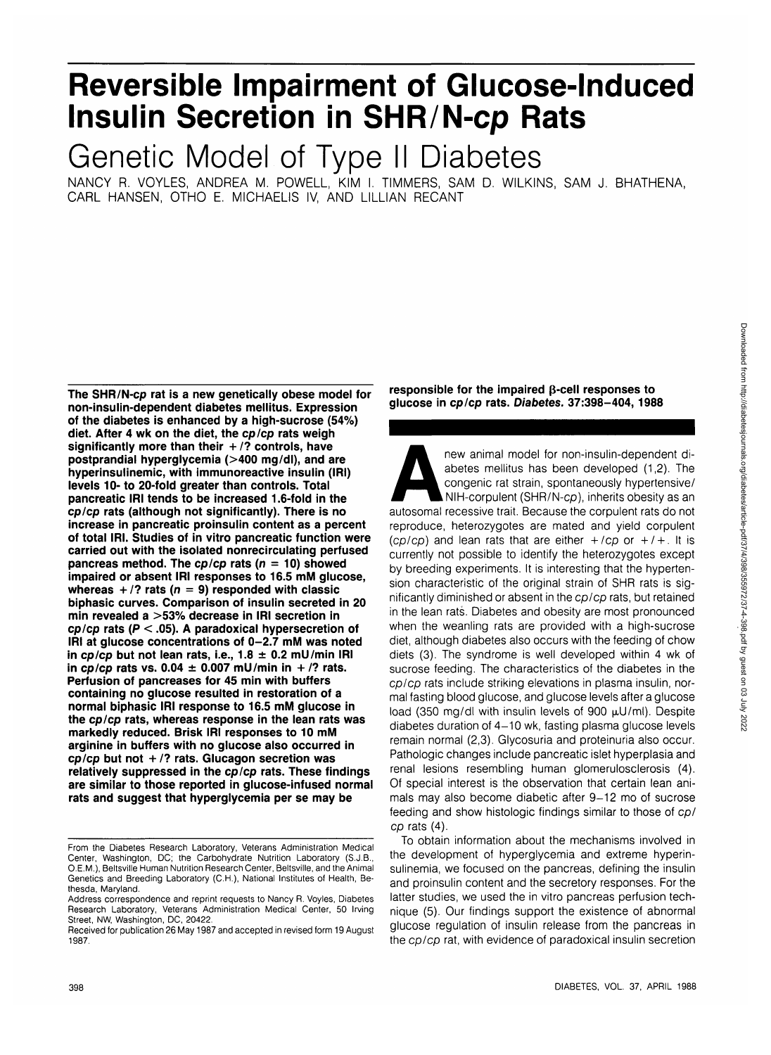# **Reversible Impairment of Glucose-Induced Insulin Secretion in SHR/N-cp Rats**

Genetic Model of Type II Diabetes

NANCY R. VOYLES, ANDREA M. POWELL, KIM I. TIMMERS, SAM D. WILKINS, SAM J. BHATHENA, CARL HANSEN, OTHO E. MICHAELIS IV, AND LILLIAN RECANT

**The SHR/N-cp rat is a new genetically obese model for non-insulin-dependent diabetes mellitus. Expression of the diabetes is enhanced by a high-sucrose (54%) diet. After 4 wk on the diet, the cp/cp rats weigh significantly more than their + /? controls, have postprandial hyperglycemia (>400 mg/dl), and are hyperinsulinemic, with immunoreactive insulin (IRI) levels 10- to 20-fold greater than controls. Total pancreatic IRI tends to be increased 1.6-fold in the cp/cp rats (although not significantly). There is no increase in pancreatic proinsulin content as a percent of total IRI. Studies of in vitro pancreatic function were carried out with the isolated nonrecirculating perfused pancreas method. The cp/cp rats (n = 10) showed impaired or absent IRI responses to 16.5 mM glucose, whereas + /? rats (n = 9) responded with classic biphasic curves. Comparison of insulin secreted in 20 min revealed a >53% decrease in IRI secretion in cp/cp rats (P < .05). A paradoxical hypersecretion of IRI at glucose concentrations of 0-2.7 mM was noted in cp/cp but not lean rats, i.e., 1.8 ± 0.2 mU/min IRI** in cp/cp rats vs.  $0.04 \pm 0.007$  mU/min in +/? rats. **Perfusion of pancreases for 45 min with buffers containing no glucose resulted in restoration of a normal biphasic IRI response to 16.5 mM glucose in the cp/cp rats, whereas response in the lean rats was markedly reduced. Brisk IRI responses to 10 mM arginine in buffers with no glucose also occurred in cp/cp but not + /? rats. Glucagon secretion was relatively suppressed in the cp/cp rats. These findings are similar to those reported in glucose-infused normal rats and suggest that hyperglycemia per se may be**

**responsible for the impaired p-cell responses to glucose in cp/cp rats. Diabetes. 37:398-404, 1988**

new animal model for non-insulin-dependent di-<br>abetes mellitus has been developed (1,2). The<br>congenic rat strain, spontaneously hypertensive/<br>NIH-corpulent (SHR/N-cp), inherits obesity as an<br>autosomal recessive trait. Beca abetes mellitus has been developed (1,2). The congenic rat strain, spontaneously hypertensive/ NIH-corpulent (SHR/N-cp), inherits obesity as an reproduce, heterozygotes are mated and yield corpulent (cp/cp) and lean rats that are either  $+$ /cp or  $+$ / $+$ . It is currently not possible to identify the heterozygotes except by breeding experiments. It is interesting that the hypertension characteristic of the original strain of SHR rats is significantly diminished or absent in the cp/cp rats, but retained in the lean rats. Diabetes and obesity are most pronounced when the weanling rats are provided with a high-sucrose diet, although diabetes also occurs with the feeding of chow diets (3). The syndrome is well developed within 4 wk of sucrose feeding. The characteristics of the diabetes in the cp/cp rats include striking elevations in plasma insulin, normal fasting blood glucose, and glucose levels after a glucose load (350 mg/dl with insulin levels of 900  $\mu$ U/ml). Despite diabetes duration of 4-10 wk, fasting plasma glucose levels remain normal (2,3). Glycosuria and proteinuria also occur. Pathologic changes include pancreatic islet hyperplasia and renal lesions resembling human glomerulosclerosis (4). Of special interest is the observation that certain lean animals may also become diabetic after 9-12 mo of sucrose feeding and show histologic findings similar to those of cp/ cp rats (4).

To obtain information about the mechanisms involved in the development of hyperglycemia and extreme hyperinsulinemia, we focused on the pancreas, defining the insulin and proinsulin content and the secretory responses. For the latter studies, we used the in vitro pancreas perfusion technique (5). Our findings support the existence of abnormal glucose regulation of insulin release from the pancreas in the cp/cp rat, with evidence of paradoxical insulin secretion

From the Diabetes Research Laboratory, Veterans Administration Medical Center, Washington, DC; the Carbohydrate Nutrition Laboratory (S.J.B., O.E.M.), Beltsville Human Nutrition Research Center, Beltsville, and the Animal Genetics and Breeding Laboratory (C.H.), National Institutes of Health, Bethesda, Maryland.

Address correspondence and reprint requests to Nancy R. Voyles, Diabetes Research Laboratory, Veterans Administration Medical Center, 50 Irving Street, NW, Washington, DC, 20422.

Received for publication 26 May 1987 and accepted in revised form 19 August 1987.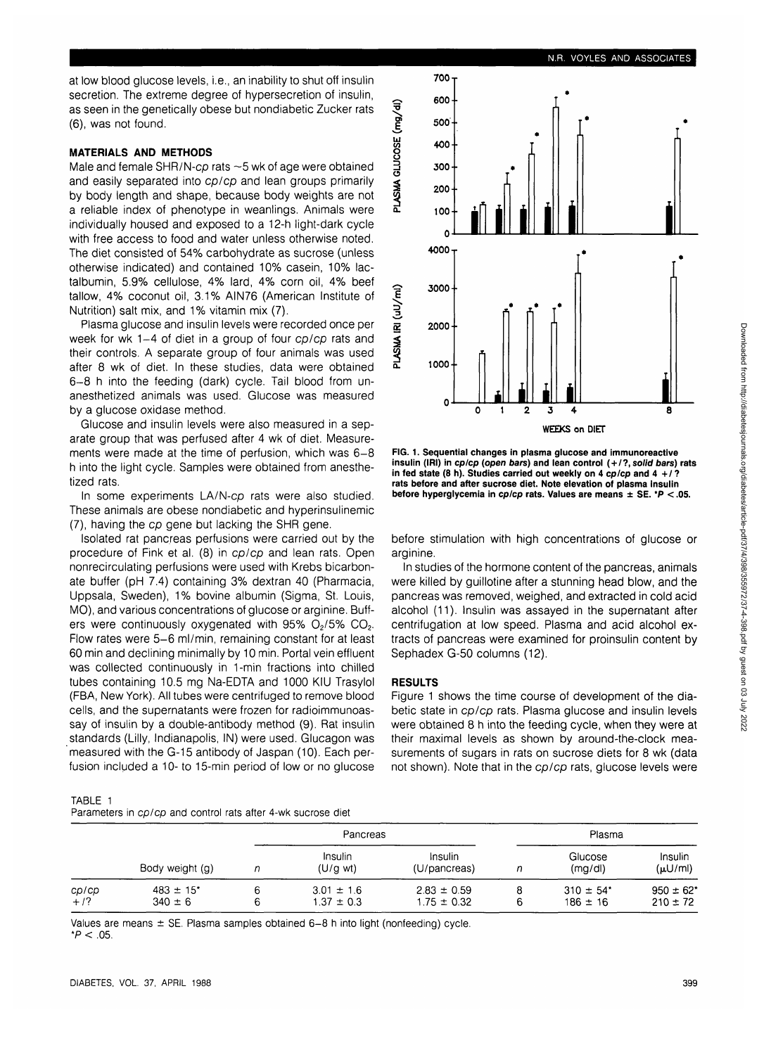at low blood glucose levels, i.e., an inability to shut off insulin secretion. The extreme degree of hypersecretion of insulin, as seen in the genetically obese but nondiabetic Zucker rats (6), was not found.

### **MATERIALS AND METHODS**

Male and female SHR/N-cp rats ~5 wk of age were obtained and easily separated into cp/cp and lean groups primarily by body length and shape, because body weights are not a reliable index of phenotype in weanlings. Animals were individually housed and exposed to a 12-h light-dark cycle with free access to food and water unless otherwise noted. The diet consisted of 54% carbohydrate as sucrose (unless otherwise indicated) and contained 10% casein, 10% lactalbumin, 5.9% cellulose, 4% lard, 4% corn oil, 4% beef tallow, 4% coconut oil, 3.1% AIN76 (American Institute of Nutrition) salt mix, and 1% vitamin mix (7).

Plasma glucose and insulin levels were recorded once per week for wk 1-4 of diet in a group of four cp/cp rats and their controls. A separate group of four animals was used after 8 wk of diet. In these studies, data were obtained 6-8 h into the feeding (dark) cycle. Tail blood from unanesthetized animals was used. Glucose was measured by a glucose oxidase method.

Glucose and insulin levels were also measured in a separate group that was perfused after 4 wk of diet. Measurements were made at the time of perfusion, which was 6-8 h into the light cycle. Samples were obtained from anesthetized rats.

In some experiments LA/N-cp rats were also studied. These animals are obese nondiabetic and hyperinsulinemic (7), having the cp gene but lacking the SHR gene.

Isolated rat pancreas perfusions were carried out by the procedure of Fink et al. (8) in cp/cp and lean rats. Open nonrecirculating perfusions were used with Krebs bicarbonate buffer (pH 7.4) containing 3% dextran 40 (Pharmacia, Uppsala, Sweden), 1% bovine albumin (Sigma, St. Louis, MO), and various concentrations of glucose or arginine. Buffers were continuously oxygenated with 95%  $O<sub>2</sub>$ /5%  $CO<sub>2</sub>$ . Flow rates were 5-6 ml/min, remaining constant for at least 60 min and declining minimally by 10 min. Portal vein effluent was collected continuously in 1-min fractions into chilled tubes containing 10.5 mg Na-EDTA and 1000 KIU Trasylol (FBA, New York). All tubes were centrifuged to remove blood cells, and the supernatants were frozen for radioimmunoassay of insulin by a double-antibody method (9). Rat insulin standards (Lilly, Indianapolis, IN) were used. Glucagon was measured with the G-15 antibody of Jaspan (10). Each perfusion included a 10- to 15-min period of low or no glucose

TABLE 1 Parameters in cp/cp and control rats after 4-wk sucrose diet

|                 |                                          |   | Pancreas                         |                                    | Plasma |                                           |                               |
|-----------------|------------------------------------------|---|----------------------------------|------------------------------------|--------|-------------------------------------------|-------------------------------|
|                 | Body weight (g)                          | n | Insulin<br>$(U/g \text{ wt})$    | Insulin<br>(U/pancreas)            | n      | Glucose<br>(mg/d)                         | Insulin<br>$(\mu U/m)$        |
| ср/ср<br>$+1$ ? | $483 \pm 15$ <sup>*</sup><br>$340 \pm 6$ |   | $3.01 \pm 1.6$<br>$1.37 \pm 0.3$ | $2.83 \pm 0.59$<br>$1.75 \pm 0.32$ | 8<br>6 | $310 \pm 54$ <sup>*</sup><br>$186 \pm 16$ | $950 \pm 62'$<br>$210 \pm 72$ |

Values are means  $\pm$  SE. Plasma samples obtained 6-8 h into light (nonfeeding) cycle.  $*P < .05$ .



**FIG. 1. Sequential changes in plasma glucose and immunoreactive insulin (IRI) in cp/cp (open bars) and lean control ( + /?, solid bars) rats in fed state (8 h). Studies carried out weekly on 4 cp/cp and 4 +/ ? rats before and after sucrose diet. Note elevation of plasma insulin before hyperglycemia in cp/cp rats. Values are means ± SE. \*P < .05.**

before stimulation with high concentrations of glucose or arginine.

In studies of the hormone content of the pancreas, animals were killed by guillotine after a stunning head blow, and the pancreas was removed, weighed, and extracted in cold acid alcohol (11). Insulin was assayed in the supernatant after centrifugation at low speed. Plasma and acid alcohol extracts of pancreas were examined for proinsulin content by Sephadex G-50 columns (12).

#### **RESULTS**

Figure 1 shows the time course of development of the diabetic state in cp/cp rats. Plasma glucose and insulin levels were obtained 8 h into the feeding cycle, when they were at their maximal levels as shown by around-the-clock measurements of sugars in rats on sucrose diets for 8 wk (data not shown). Note that in the cp/cp rats, glucose levels were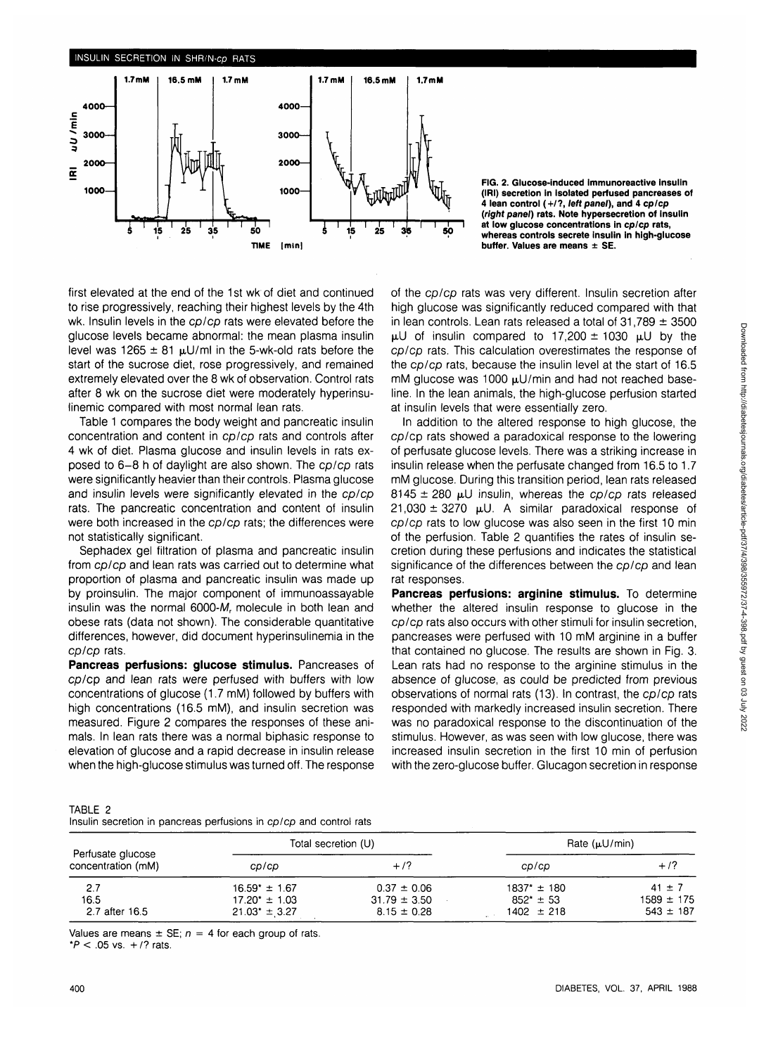

**FIG. 2. Glucose-induced immunoreactive Insulin (IRI) secretion in isolated perfused pancreases of 4 lean control (+/?, left panel), and 4 cp/cp {right panel) rats. Note hypersecretion of insulin at low glucose concentrations in cp/cp rats, whereas controls secrete insulin in high-glucose buffer. Values are means** ± **SE.**

first elevated at the end of the 1st wk of diet and continued to rise progressively, reaching their highest levels by the 4th wk. Insulin levels in the cp/cp rats were elevated before the glucose levels became abnormal: the mean plasma insulin level was 1265  $\pm$  81  $\mu$ U/ml in the 5-wk-old rats before the start of the sucrose diet, rose progressively, and remained extremely elevated over the 8 wk of observation. Control rats after 8 wk on the sucrose diet were moderately hyperinsulinemic compared with most normal lean rats.

Table 1 compares the body weight and pancreatic insulin concentration and content in cp/cp rats and controls after 4 wk of diet. Plasma glucose and insulin levels in rats exposed to 6-8 h of daylight are also shown. The cp/cp rats were significantly heavier than their controls. Plasma glucose and insulin levels were significantly elevated in the cp/cp rats. The pancreatic concentration and content of insulin were both increased in the cp/cp rats; the differences were not statistically significant.

Sephadex gel filtration of plasma and pancreatic insulin from cp/cp and lean rats was carried out to determine what proportion of plasma and pancreatic insulin was made up by proinsulin. The major component of immunoassayable insulin was the normal  $6000-M<sub>r</sub>$  molecule in both lean and obese rats (data not shown). The considerable quantitative differences, however, did document hyperinsulinemia in the cp/cp rats.

**Pancreas perfusions: glucose stimulus.** Pancreases of cp/cp and lean rats were perfused with buffers with low concentrations of glucose (1.7 mM) followed by buffers with high concentrations (16.5 mM), and insulin secretion was measured. Figure 2 compares the responses of these animals. In lean rats there was a normal biphasic response to elevation of glucose and a rapid decrease in insulin release when the high-glucose stimulus was turned off. The response of the cp/cp rats was very different. Insulin secretion after high glucose was significantly reduced compared with that in lean controls. Lean rats released a total of  $31,789 \pm 3500$  $\mu$ U of insulin compared to 17,200  $\pm$  1030  $\mu$ U by the cp/cp rats. This calculation overestimates the response of the cp/cp rats, because the insulin level at the start of 16.5 mM glucose was 1000  $\mu$ U/min and had not reached baseline. In the lean animals, the high-glucose perfusion started at insulin levels that were essentially zero.

In addition to the altered response to high glucose, the cp/cp rats showed a paradoxical response to the lowering of perfusate glucose levels. There was a striking increase in insulin release when the perfusate changed from 16.5 to 1.7 mM glucose. During this transition period, lean rats released 8145  $\pm$  280 µU insulin, whereas the cp/cp rats released  $21,030 \pm 3270$  µU. A similar paradoxical response of cp/cp rats to low glucose was also seen in the first 10 min of the perfusion. Table 2 quantifies the rates of insulin secretion during these perfusions and indicates the statistical significance of the differences between the cp/cp and lean rat responses.

**Pancreas perfusions: arginine stimulus.** To determine whether the altered insulin response to glucose in the cp/cp rats also occurs with other stimuli for insulin secretion, pancreases were perfused with 10 mM arginine in a buffer that contained no glucose. The results are shown in Fig. 3. Lean rats had no response to the arginine stimulus in the absence of glucose, as could be predicted from previous observations of normal rats (13). In contrast, the cp/cp rats responded with markedly increased insulin secretion. There was no paradoxical response to the discontinuation of the stimulus. However, as was seen with low glucose, there was increased insulin secretion in the first 10 min of perfusion with the zero-glucose buffer. Glucagon secretion in response

TABLE 2 Insulin secretion in pancreas perfusions in cp/cp and control rats

|                                         |                    | Total secretion (U) | Rate $(uU/min)$ |                |
|-----------------------------------------|--------------------|---------------------|-----------------|----------------|
| Perfusate glucose<br>concentration (mM) | cp/cp              | $+ / ?$             | CD/CD           | $+1$ ?         |
| 2.7                                     | $16.59* \pm 1.67$  | $0.37 \pm 0.06$     | 1837* ± 180     | $41 \pm 7$     |
| 16.5                                    | $17.20^* \pm 1.03$ | $31.79 \pm 3.50$    | $852* \pm 53$   | $1589 \pm 175$ |
| 2.7 after 16.5                          | $21.03* \pm 3.27$  | $8.15 \pm 0.28$     | $1402 \pm 218$  | $543 \pm 187$  |

Values are means  $\pm$  SE;  $n = 4$  for each group of rats.

\* $P < .05$  vs.  $+$  /? rats.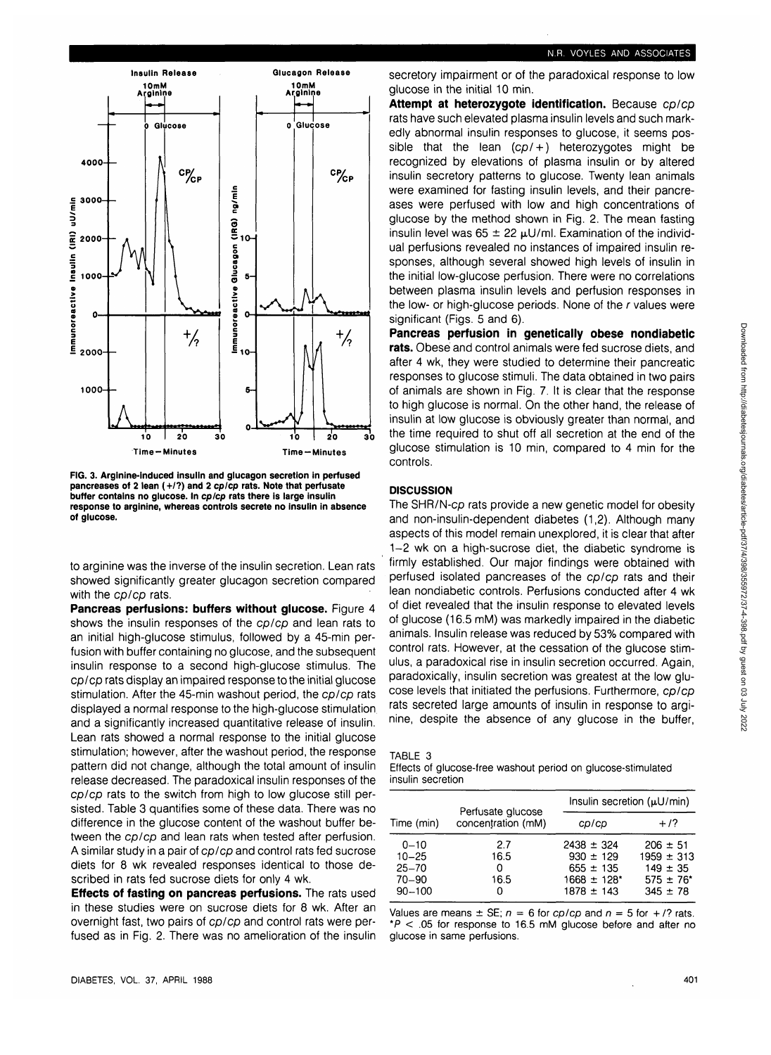

**FIG. 3. Arginine-induced insulin and glucagon secretion in perfused pancreases of 2 lean (+/?) and 2 cp/cp rats. Note that perfusate buffer contains no glucose. In cp/cp rats there is large insulin response to arginine, whereas controls secrete no insulin in absence of glucose.**

to arginine was the inverse of the insulin secretion. Lean rats showed significantly greater glucagon secretion compared with the cp/cp rats.

**Pancreas perfusions: buffers without glucose.** Figure 4 shows the insulin responses of the cp/cp and lean rats to an initial high-glucose stimulus, followed by a 45-min perfusion with buffer containing no glucose, and the subsequent insulin response to a second high-glucose stimulus. The cp/cp rats display an impaired response to the initial glucose stimulation. After the 45-min washout period, the cp/cp rats displayed a normal response to the high-glucose stimulation and a significantly increased quantitative release of insulin. Lean rats showed a normal response to the initial glucose stimulation; however, after the washout period, the response pattern did not change, although the total amount of insulin release decreased. The paradoxical insulin responses of the cp/cp rats to the switch from high to low glucose still persisted. Table 3 quantifies some of these data. There was no difference in the glucose content of the washout buffer between the cp/cp and lean rats when tested after perfusion. A similar study in a pair of cp/cp and control rats fed sucrose diets for 8 wk revealed responses identical to those described in rats fed sucrose diets for only 4 wk.

**Effects of fasting on pancreas perfusions.** The rats used in these studies were on sucrose diets for 8 wk. After an overnight fast, two pairs of cp/cp and control rats were perfused as in Fig. 2. There was no amelioration of the insulin secretory impairment or of the paradoxical response to low glucose in the initial 10 min.

**Attempt at heterozygote identification.** Because cp/cp rats have such elevated plasma insulin levels and such markedly abnormal insulin responses to glucose, it seems possible that the lean  $(cp/+)$  heterozygotes might be recognized by elevations of plasma insulin or by altered insulin secretory patterns to glucose. Twenty lean animals were examined for fasting insulin levels, and their pancreases were perfused with low and high concentrations of glucose by the method shown in Fig. 2. The mean fasting insulin level was  $65 \pm 22 \mu U/ml$ . Examination of the individual perfusions revealed no instances of impaired insulin responses, although several showed high levels of insulin in the initial low-glucose perfusion. There were no correlations between plasma insulin levels and perfusion responses in the low- or high-glucose periods. None of the r values were significant (Figs. 5 and 6).

**Pancreas perfusion in genetically obese nondiabetic rats.** Obese and control animals were fed sucrose diets, and after 4 wk, they were studied to determine their pancreatic responses to glucose stimuli. The data obtained in two pairs of animals are shown in Fig. 7. It is clear that the response to high glucose is normal. On the other hand, the release of insulin at low glucose is obviously greater than normal, and the time required to shut off all secretion at the end of the glucose stimulation is 10 min, compared to 4 min for the controls.

#### **DISCUSSION**

The SHR/N-cp rats provide a new genetic model for obesity and non-insulin-dependent diabetes (1,2). Although many aspects of this model remain unexplored, it is clear that after 1-2 wk on a high-sucrose diet, the diabetic syndrome is firmly established. Our major findings were obtained with perfused isolated pancreases of the cp/cp rats and their lean nondiabetic controls. Perfusions conducted after 4 wk of diet revealed that the insulin response to elevated levels of glucose (16.5 mM) was markedly impaired in the diabetic animals. Insulin release was reduced by 53% compared with control rats. However, at the cessation of the glucose stimulus, a paradoxical rise in insulin secretion occurred. Again, paradoxically, insulin secretion was greatest at the low glucose levels that initiated the perfusions. Furthermore, cp/cp rats secreted large amounts of insulin in response to arginine, despite the absence of any glucose in the buffer,

| ABL. |  |
|------|--|
|------|--|

Effects of glucose-free washout period on glucose-stimulated insulin secretion

|            |                                         | Insulin secretion $(\mu U/min)$ |                |  |
|------------|-----------------------------------------|---------------------------------|----------------|--|
| Time (min) | Perfusate glucose<br>concentration (mM) | cp/cp                           | $+17$          |  |
| $0 - 10$   | 2.7                                     | $2438 \pm 324$                  | $206 \pm 51$   |  |
| $10 - 25$  | 16.5                                    | $930 \pm 129$                   | $1959 \pm 313$ |  |
| $25 - 70$  | 0                                       | $655 \pm 135$                   | $149 \pm 35$   |  |
| $70 - 90$  | 16.5                                    | $1668 \pm 128$ <sup>*</sup>     | $575 \pm 76^*$ |  |
| $90 - 100$ | o                                       | $1878 \pm 143$                  | $345 \pm 78$   |  |

Values are means  $\pm$  SE;  $n = 6$  for cp/cp and  $n = 5$  for  $+/?$  rats.  $*P < .05$  for response to 16.5 mM glucose before and after no glucose in same perfusions.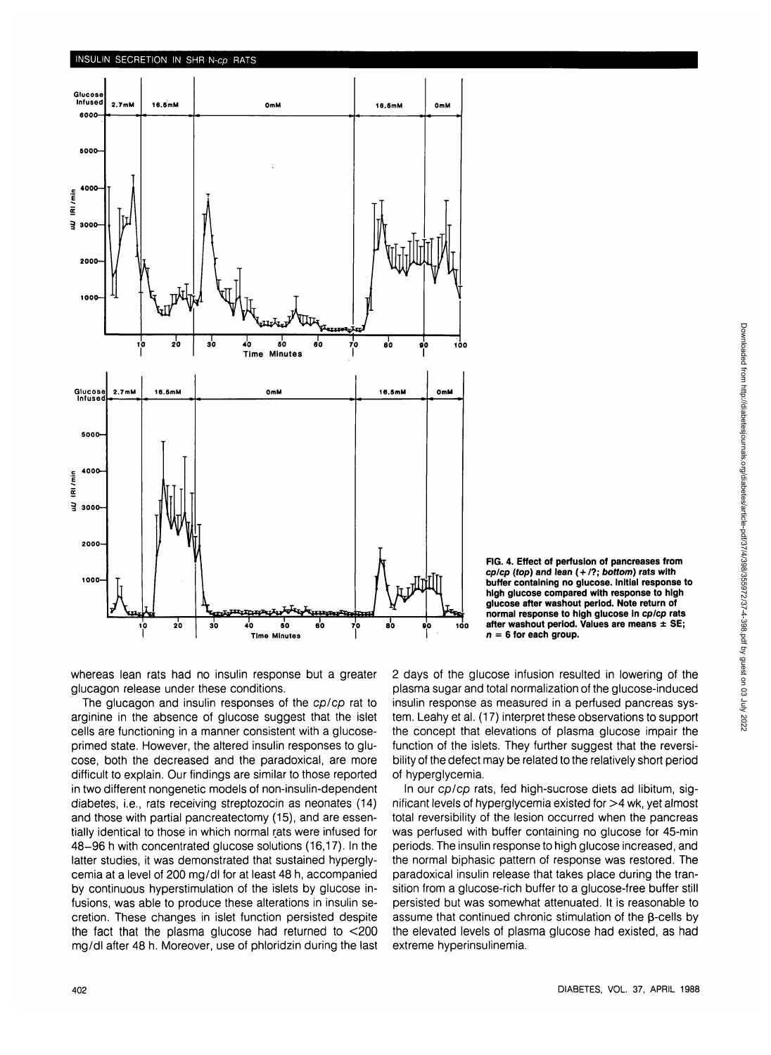

**FIG. 4. Effect of perfusion of pancreases from cp/cp (top) and lean ( + /?; bottom) rats with buffer containing no glucose. Initial response to high glucose compared with response to high glucose after washout period. Note return of normal response to high glucose in cp/cp rats after washout period. Values are means ± SE; n = 6 for each group.**

whereas lean rats had no insulin response but a greater glucagon release under these conditions.

The glucagon and insulin responses of the cp/cp rat to arginine in the absence of glucose suggest that the islet cells are functioning in a manner consistent with a glucoseprimed state. However, the altered insulin responses to glucose, both the decreased and the paradoxical, are more difficult to explain. Our findings are similar to those reported in two different nongenetic models of non-insulin-dependent diabetes, i.e., rats receiving streptozocin as neonates (14) and those with partial pancreatectomy (15), and are essentially identical to those in which normal rats were infused for 48-96 h with concentrated glucose solutions (16,17). In the latter studies, it was demonstrated that sustained hyperglycemia at a level of 200 mg/dl for at least 48 h, accompanied by continuous hyperstimulation of the islets by glucose infusions, was able to produce these alterations in insulin secretion. These changes in islet function persisted despite the fact that the plasma glucose had returned to <200 mg/dl after 48 h. Moreover, use of phloridzin during the last 2 days of the glucose infusion resulted in lowering of the plasma sugar and total normalization of the glucose-induced insulin response as measured in a perfused pancreas system. Leahy et al. (17) interpret these observations to support the concept that elevations of plasma glucose impair the function of the islets. They further suggest that the reversibility of the defect may be related to the relatively short period of hyperglycemia.

In our cp/cp rats, fed high-sucrose diets ad libitum, significant levels of hyperglycemia existed for >4 wk, yet almost total reversibility of the lesion occurred when the pancreas was perfused with buffer containing no glucose for 45-min periods. The insulin response to high glucose increased, and the normal biphasic pattern of response was restored. The paradoxical insulin release that takes place during the transition from a glucose-rich buffer to a glucose-free buffer still persisted but was somewhat attenuated. It is reasonable to assume that continued chronic stimulation of the  $\beta$ -cells by the elevated levels of plasma glucose had existed, as had extreme hyperinsulinemia.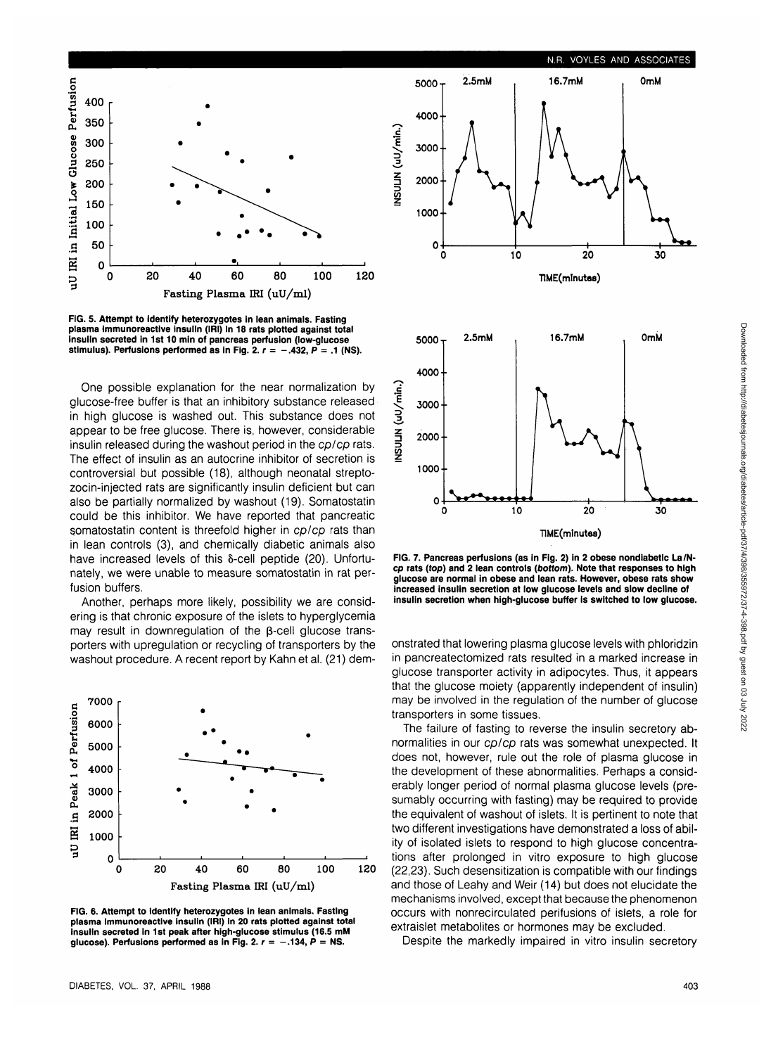

**FIG. 5. Attempt to identify heterozygotes in lean animals. Fasting plasma immunoreactive insulin (IRI) in 18 rats plotted against total Insulin secreted in 1st 10 min of pancreas perfusion (low-glucose** stimulus). Perfusions performed as in Fig. 2.  $r = -.432$ ,  $P = .1$  (NS).

One possible explanation for the near normalization by glucose-free buffer is that an inhibitory substance released in high glucose is washed out. This substance does not appear to be free glucose. There is, however, considerable insulin released during the washout period in the cp/cp rats. The effect of insulin as an autocrine inhibitor of secretion is controversial but possible (18), although neonatal streptozocin-injected rats are significantly insulin deficient but can also be partially normalized by washout (19). Somatostatin could be this inhibitor. We have reported that pancreatic somatostatin content is threefold higher in cp/cp rats than in lean controls (3), and chemically diabetic animals also have increased levels of this 8-cell peptide (20). Unfortunately, we were unable to measure somatostatin in rat perfusion buffers.

Another, perhaps more likely, possibility we are considering is that chronic exposure of the islets to hyperglycemia may result in downregulation of the  $\beta$ -cell glucose transporters with upregulation or recycling of transporters by the washout procedure. A recent report by Kahn et al. (21) dem-



**FIG. 6. Attempt to Identify heterozygotes in lean animals. Fasting plasma immunoreactive insulin (IRI) in 20 rats plotted against total insulin secreted in 1st peak after high-glucose stimulus (16.5 mM** glucose). Perfusions performed as in Fig. 2.  $r = -.134$ ,  $P = NS$ .



**N.R. VOYLES AND ASSOCIATES**

**16.7mM OmM**

TIME(minutes)

**FIG. 7. Pancreas perfusions (as in Fig. 2) in 2 obese nondiabetic La/Ncp rats (top) and 2 lean controls (bottom). Note that responses to high glucose are normal in obese and lean rats. However, obese rats show increased insulin secretion at low glucose levels and slow decline of insulin secretion when high-glucose buffer is switched to low glucose.**

onstrated that lowering plasma glucose levels with phloridzin in pancreatectomized rats resulted in a marked increase in glucose transporter activity in adipocytes. Thus, it appears that the glucose moiety (apparently independent of insulin) may be involved in the regulation of the number of glucose transporters in some tissues.

The failure of fasting to reverse the insulin secretory abnormalities in our cp/cp rats was somewhat unexpected. It does not, however, rule out the role of plasma glucose in the development of these abnormalities. Perhaps a considerably longer period of normal plasma glucose levels (presumably occurring with fasting) may be required to provide the equivalent of washout of islets. It is pertinent to note that two different investigations have demonstrated a loss of ability of isolated islets to respond to high glucose concentrations after prolonged in vitro exposure to high glucose (22,23). Such desensitization is compatible with our findings and those of Leahy and Weir (14) but does not elucidate the mechanisms involved, except that because the phenomenon occurs with nonrecirculated perifusions of islets, a role for extraislet metabolites or hormones may be excluded.

Despite the markedly impaired in vitro insulin secretory